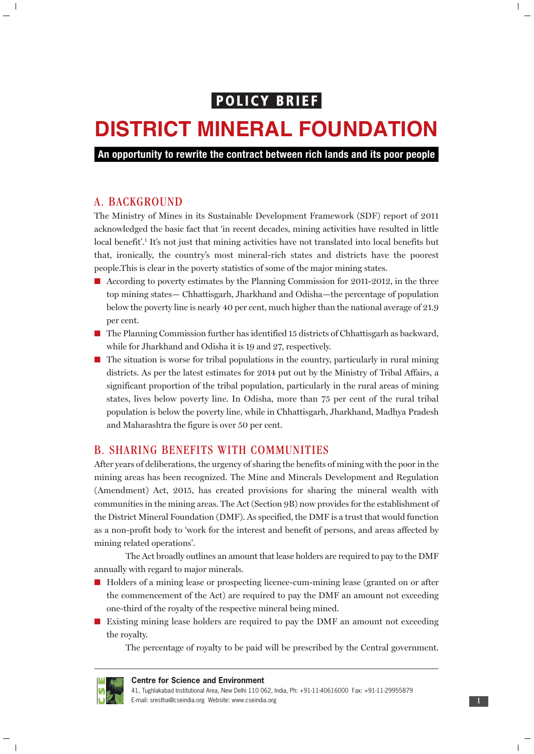# **POLICY BRIEF**

# **DISTRICT MINERAL FOUNDATION**

**An opportunity to rewrite the contract between rich lands and its poor people**

## A. BACKGROUND

 $\mathbb T$ 

The Ministry of Mines in its Sustainable Development Framework (SDF) report of 2011 acknowledged the basic fact that 'in recent decades, mining activities have resulted in little local benefit'.<sup>1</sup> It's not just that mining activities have not translated into local benefits but that, ironically, the country's most mineral-rich states and districts have the poorest people.This is clear in the poverty statistics of some of the major mining states.

- According to poverty estimates by the Planning Commission for 2011-2012, in the three top mining states— Chhattisgarh, Jharkhand and Odisha—the percentage of population below the poverty line is nearly 40 per cent, much higher than the national average of 21.9 per cent.
- The Planning Commission further has identified 15 districts of Chhattisgarh as backward, while for Jharkhand and Odisha it is 19 and 27, respectively.
- The situation is worse for tribal populations in the country, particularly in rural mining districts. As per the latest estimates for 2014 put out by the Ministry of Tribal Affairs, a significant proportion of the tribal population, particularly in the rural areas of mining states, lives below poverty line. In Odisha, more than 75 per cent of the rural tribal population is below the poverty line, while in Chhattisgarh, Jharkhand, Madhya Pradesh and Maharashtra the figure is over 50 per cent.

# B. SHARING BENEFITS WITH COMMUNITIES

After years of deliberations, the urgency of sharing the benefits of mining with the poor in the mining areas has been recognized. The Mine and Minerals Development and Regulation (Amendment) Act, 2015, has created provisions for sharing the mineral wealth with communities in the mining areas. The Act (Section 9B) now provides for the establishment of the District Mineral Foundation (DMF). As specified, the DMF is a trust that would function as a non-profit body to 'work for the interest and benefit of persons, and areas affected by mining related operations'.

The Act broadly outlines an amount that lease holders are required to pay to the DMF annually with regard to major minerals.

- Holders of a mining lease or prospecting licence-cum-mining lease (granted on or after the commencement of the Act) are required to pay the DMF an amount not exceeding one-third of the royalty of the respective mineral being mined.
- Existing mining lease holders are required to pay the DMF an amount not exceeding the royalty.

The percentage of royalty to be paid will be prescribed by the Central government.



 $\overline{\phantom{a}}$ 

**Centre for Science and Environment**

 $\overline{\phantom{a}}$ 

<sup>41,</sup> Tughlakabad Institutional Area, New Delhi 110 062, India, Ph: +91-11-40616000 Fax: +91-11-29955879 E-mail: srestha@cseindia.org Website: www.cseindia.org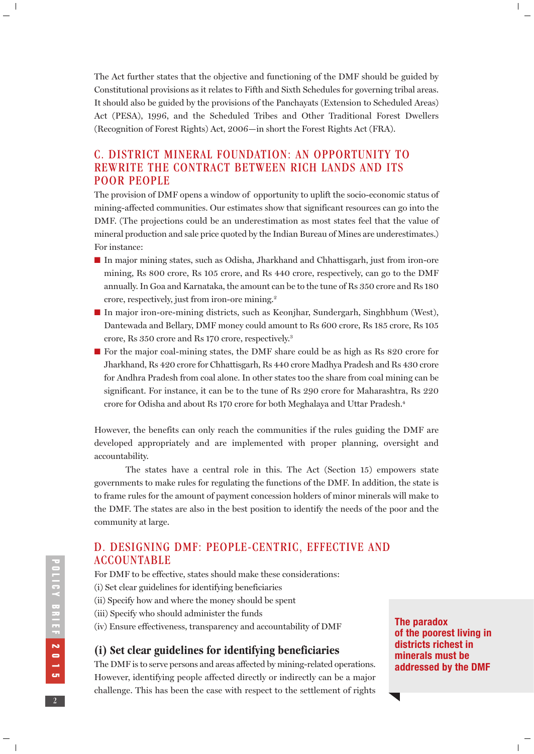The Act further states that the objective and functioning of the DMF should be guided by Constitutional provisions as it relates to Fifth and Sixth Schedules for governing tribal areas. It should also be guided by the provisions of the Panchayats (Extension to Scheduled Areas) Act (PESA), 1996, and the Scheduled Tribes and Other Traditional Forest Dwellers (Recognition of Forest Rights) Act, 2006—in short the Forest Rights Act (FRA).

# C. DISTRICT MINERAL FOUNDATION: AN OPPORTUNITY TO REWRITE THE CONTRACT BETWEEN RICH LANDS AND ITS POOR PEOPLE

The provision of DMF opens a window of opportunity to uplift the socio-economic status of mining-affected communities. Our estimates show that significant resources can go into the DMF. (The projections could be an underestimation as most states feel that the value of mineral production and sale price quoted by the Indian Bureau of Mines are underestimates.) For instance:

- In major mining states, such as Odisha, Jharkhand and Chhattisgarh, just from iron-ore mining, Rs 800 crore, Rs 105 crore, and Rs 440 crore, respectively, can go to the DMF annually. In Goa and Karnataka, the amount can be to the tune of Rs 350 crore and Rs 180 crore, respectively, just from iron-ore mining.2
- In major iron-ore-mining districts, such as Keonjhar, Sundergarh, Singhbhum (West), Dantewada and Bellary, DMF money could amount to Rs 600 crore, Rs 185 crore, Rs 105 crore, Rs 350 crore and Rs 170 crore, respectively.3
- For the major coal-mining states, the DMF share could be as high as Rs 820 crore for Jharkhand, Rs 420 crore for Chhattisgarh, Rs 440 crore Madhya Pradesh and Rs 430 crore for Andhra Pradesh from coal alone. In other states too the share from coal mining can be significant. For instance, it can be to the tune of Rs 290 crore for Maharashtra, Rs 220 crore for Odisha and about Rs 170 crore for both Meghalaya and Uttar Pradesh.4

However, the benefits can only reach the communities if the rules guiding the DMF are developed appropriately and are implemented with proper planning, oversight and accountability.

The states have a central role in this. The Act (Section 15) empowers state governments to make rules for regulating the functions of the DMF. In addition, the state is to frame rules for the amount of payment concession holders of minor minerals will make to the DMF. The states are also in the best position to identify the needs of the poor and the community at large.

# D. DESIGNING DMF: PEOPLE-CENTRIC, EFFECTIVE AND ACCOUNTABLE

For DMF to be effective, states should make these considerations:

- (i) Set clear guidelines for identifying beneficiaries
- (ii) Specify how and where the money should be spent
- (iii) Specify who should administer the funds
- (iv) Ensure effectiveness, transparency and accountability of DMF

# **(i) Set clear guidelines for identifying beneficiaries**

The DMF is to serve persons and areas affected by mining-related operations. However, identifying people affected directly or indirectly can be a major challenge. This has been the case with respect to the settlement of rights **The paradox of the poorest living in districts richest in minerals must be addressed by the DMF**

 $\overline{\phantom{a}}$ 

 $\mathbb{L}$ 

**POLICY BRIEF** 

 $\|$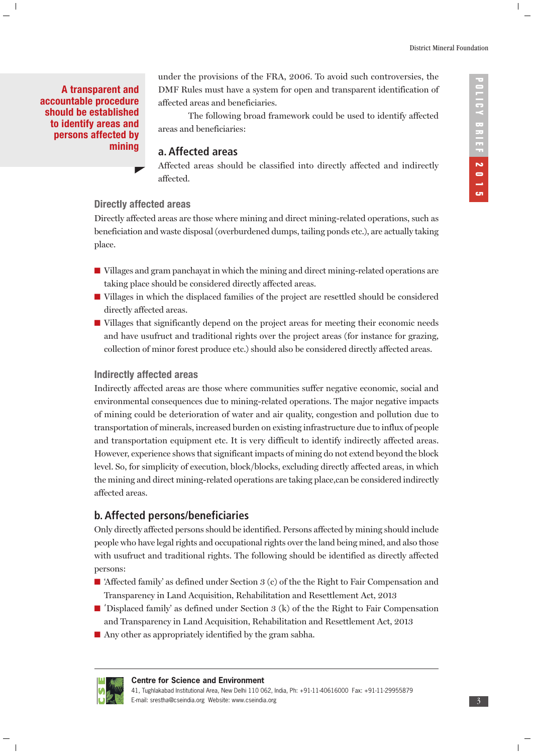$\overline{\phantom{a}}$ 

**A transparent and accountable procedure should be established to identify areas and persons affected by mining**

 $\overline{\phantom{a}}$ 

under the provisions of the FRA, 2006. To avoid such controversies, the DMF Rules must have a system for open and transparent identification of affected areas and beneficiaries.

The following broad framework could be used to identify affected areas and beneficiaries:

#### **a. Affected areas**

Affected areas should be classified into directly affected and indirectly affected.

#### **Directly affected areas**

Directly affected areas are those where mining and direct mining-related operations, such as beneficiation and waste disposal (overburdened dumps, tailing ponds etc.), are actually taking place.

- Villages and gram panchayat in which the mining and direct mining-related operations are taking place should be considered directly affected areas.
- Villages in which the displaced families of the project are resettled should be considered directly affected areas.
- Villages that significantly depend on the project areas for meeting their economic needs and have usufruct and traditional rights over the project areas (for instance for grazing, collection of minor forest produce etc.) should also be considered directly affected areas.

# **Indirectly affected areas**

Indirectly affected areas are those where communities suffer negative economic, social and environmental consequences due to mining-related operations. The major negative impacts of mining could be deterioration of water and air quality, congestion and pollution due to transportation of minerals, increased burden on existing infrastructure due to influx of people and transportation equipment etc. It is very difficult to identify indirectly affected areas. However, experience shows that significant impacts of mining do not extend beyond the block level. So, for simplicity of execution, block/blocks, excluding directly affected areas, in which the mining and direct mining-related operations are taking place,can be considered indirectly affected areas.

# **b. Affected persons/beneficiaries**

Only directly affected persons should be identified. Persons affected by mining should include people who have legal rights and occupational rights over the land being mined, and also those with usufruct and traditional rights. The following should be identified as directly affected persons:

- 'Affected family' as defined under Section 3 (c) of the the Right to Fair Compensation and Transparency in Land Acquisition, Rehabilitation and Resettlement Act, 2013
- 'Displaced family' as defined under Section 3 (k) of the the Right to Fair Compensation and Transparency in Land Acquisition, Rehabilitation and Resettlement Act, 2013
- Any other as appropriately identified by the gram sabha.



#### **Centre for Science and Environment**

41, Tughlakabad Institutional Area, New Delhi 110 062, India, Ph: +91-11-40616000 Fax: +91-11-29955879 E-mail: srestha@cseindia.org Website: www.cseindia.org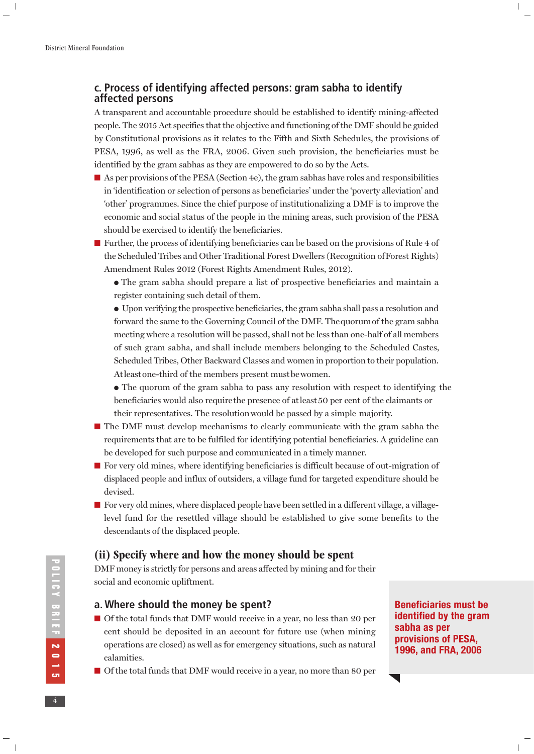$\mathbb T$ 

# **c. Process of identifying affected persons: gram sabha to identify affected persons**

A transparent and accountable procedure should be established to identify mining-affected people. The 2015 Act specifies that the objective and functioning of the DMF should be guided by Constitutional provisions as it relates to the Fifth and Sixth Schedules, the provisions of PESA, 1996, as well as the FRA, 2006. Given such provision, the beneficiaries must be identified by the gram sabhas as they are empowered to do so by the Acts.

- As per provisions of the PESA (Section 4e), the gram sabhas have roles and responsibilities in 'identification or selection of persons as beneficiaries' under the 'poverty alleviation' and 'other' programmes. Since the chief purpose of institutionalizing a DMF is to improve the economic and social status of the people in the mining areas, such provision of the PESA should be exercised to identify the beneficiaries.
- Further, the process of identifying beneficiaries can be based on the provisions of Rule 4 of the Scheduled Tribes and Other Traditional Forest Dwellers (Recognition of Forest Rights) Amendment Rules 2012 (Forest Rights Amendment Rules, 2012).
	- The gram sabha should prepare a list of prospective beneficiaries and maintain a register containing such detail of them.
	- Upon verifying the prospective beneficiaries, the gram sabha shall pass a resolution and forward the same to the Governing Council of the DMF. The quorum of the gram sabha meeting where a resolution will be passed, shall not be less than one-half of all members of such gram sabha, and shall include members belonging to the Scheduled Castes, Scheduled Tribes, Other Backward Classes and women in proportion to their population. At least one-third of the members present must be women.
	- The quorum of the gram sabha to pass any resolution with respect to identifying the beneficiaries would also require the presence of at least 50 per cent of the claimants or their representatives. The resolution would be passed by a simple majority.
- The DMF must develop mechanisms to clearly communicate with the gram sabha the requirements that are to be fulfiled for identifying potential beneficiaries. A guideline can be developed for such purpose and communicated in a timely manner.
- For very old mines, where identifying beneficiaries is difficult because of out-migration of displaced people and influx of outsiders, a village fund for targeted expenditure should be devised.
- For very old mines, where displaced people have been settled in a different village, a villagelevel fund for the resettled village should be established to give some benefits to the descendants of the displaced people.

# **(ii) Specify where and how the money should be spent**

DMF money is strictly for persons and areas affected by mining and for their social and economic upliftment.

# **a. Where should the money be spent?**

- Of the total funds that DMF would receive in a year, no less than 20 per cent should be deposited in an account for future use (when mining operations are closed) as well as for emergency situations, such as natural calamities.
- Of the total funds that DMF would receive in a year, no more than 80 per

**Beneficiaries must be identified by the gram sabha as per provisions of PESA, 1996, and FRA, 2006**

 $\overline{\phantom{a}}$ 

 $\begin{array}{c} \hline \end{array}$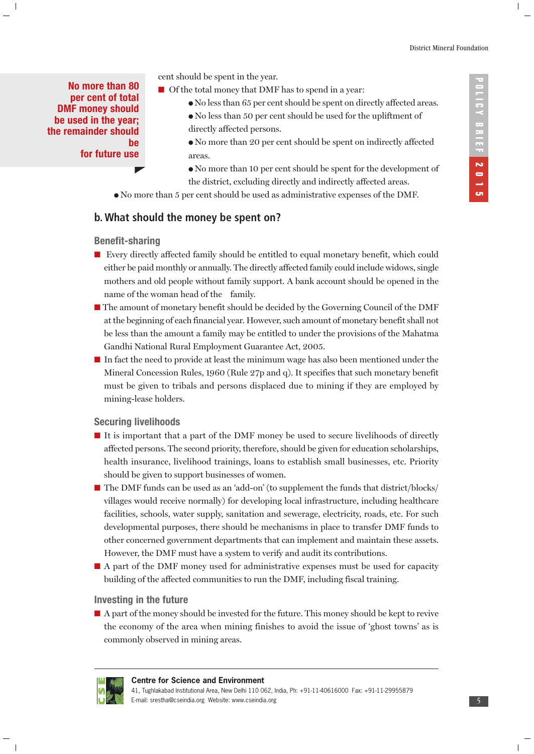**No more than 80 per cent of total DMF money should be used in the year; the remainder should be for future use**

 $\overline{\phantom{a}}$ 

- cent should be spent in the year.
- Of the total money that DMF has to spend in a year:
	- No less than 65 per cent should be spent on directly affected areas.
	- No less than 50 per cent should be used for the upliftment of directly affected persons.
	- No more than 20 per cent should be spent on indirectly affected areas.
	- No more than 10 per cent should be spent for the development of the district, excluding directly and indirectly affected areas.
- No more than 5 per cent should be used as administrative expenses of the DMF.

# **b. What should the money be spent on?**

#### **Benefit-sharing**

- Every directly affected family should be entitled to equal monetary benefit, which could either be paid monthly or annually. The directly affected family could include widows, single mothers and old people without family support. A bank account should be opened in the name of the woman head of the family.
- The amount of monetary benefit should be decided by the Governing Council of the DMF at the beginning of each financial year. However, such amount of monetary benefit shall not be less than the amount a family may be entitled to under the provisions of the Mahatma Gandhi National Rural Employment Guarantee Act, 2005.
- In fact the need to provide at least the minimum wage has also been mentioned under the Mineral Concession Rules, 1960 (Rule 27p and q). It specifies that such monetary benefit must be given to tribals and persons displaced due to mining if they are employed by mining-lease holders.

#### **Securing livelihoods**

- It is important that a part of the DMF money be used to secure livelihoods of directly affected persons. The second priority, therefore, should be given for education scholarships, health insurance, livelihood trainings, loans to establish small businesses, etc. Priority should be given to support businesses of women.
- The DMF funds can be used as an 'add-on' (to supplement the funds that district/blocks/ villages would receive normally) for developing local infrastructure, including healthcare facilities, schools, water supply, sanitation and sewerage, electricity, roads, etc. For such developmental purposes, there should be mechanisms in place to transfer DMF funds to other concerned government departments that can implement and maintain these assets. However, the DMF must have a system to verify and audit its contributions.
- A part of the DMF money used for administrative expenses must be used for capacity building of the affected communities to run the DMF, including fiscal training.

#### **Investing in the future**

■ A part of the money should be invested for the future. This money should be kept to revive the economy of the area when mining finishes to avoid the issue of 'ghost towns' as is commonly observed in mining areas.



#### **Centre for Science and Environment** 41, Tughlakabad Institutional Area, New Delhi 110 062, India, Ph: +91-11-40616000 Fax: +91-11-29955879 E-mail: srestha@cseindia.org Website: www.cseindia.org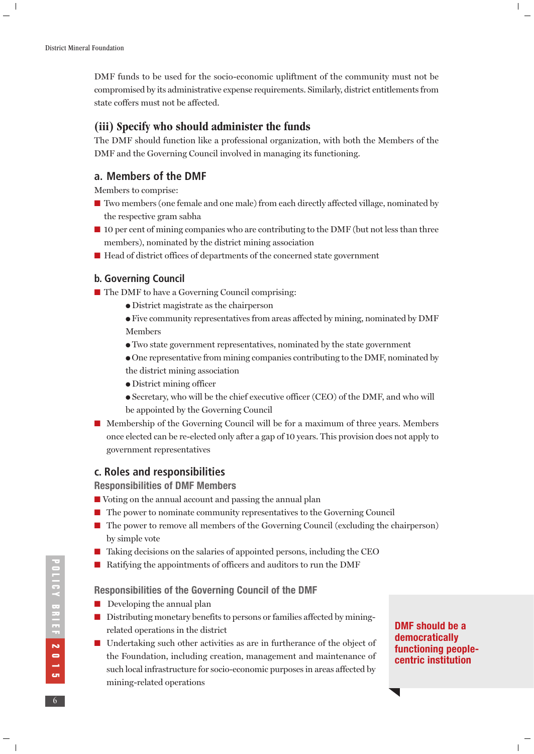$\|$ 

DMF funds to be used for the socio-economic upliftment of the community must not be compromised by its administrative expense requirements. Similarly, district entitlements from state coffers must not be affected.

## **(iii) Specify who should administer the funds**

The DMF should function like a professional organization, with both the Members of the DMF and the Governing Council involved in managing its functioning.

#### **a. Members of the DMF**

Members to comprise:

- Two members (one female and one male) from each directly affected village, nominated by the respective gram sabha
- 10 per cent of mining companies who are contributing to the DMF (but not less than three members), nominated by the district mining association
- Head of district offices of departments of the concerned state government

#### **b. Governing Council**

- The DMF to have a Governing Council comprising:
	- District magistrate as the chairperson
	- Five community representatives from areas affected by mining, nominated by DMF Members
	- Two state government representatives, nominated by the state government
	- One representative from mining companies contributing to the DMF, nominated by the district mining association
	- District mining officer
	- Secretary, who will be the chief executive officer (CEO) of the DMF, and who will be appointed by the Governing Council
- Membership of the Governing Council will be for a maximum of three years. Members once elected can be re-elected only after a gap of 10 years. This provision does not apply to government representatives

#### **c. Roles and responsibilities**

**Responsibilities of DMF Members**

- Voting on the annual account and passing the annual plan
- The power to nominate community representatives to the Governing Council
- The power to remove all members of the Governing Council (excluding the chairperson) by simple vote
- Taking decisions on the salaries of appointed persons, including the CEO
- Ratifying the appointments of officers and auditors to run the DMF

#### **Responsibilities of the Governing Council of the DMF**

- Developing the annual plan
- Distributing monetary benefits to persons or families affected by miningrelated operations in the district
- Undertaking such other activities as are in furtherance of the object of the Foundation, including creation, management and maintenance of such local infrastructure for socio-economic purposes in areas affected by mining-related operations

**DMF should be a democratically functioning peoplecentric institution** 

 $\overline{\phantom{a}}$ 

 $\mathbf{I}$ 

**2116Y BRIEF 2015 POLICY BRIEF 2015 6**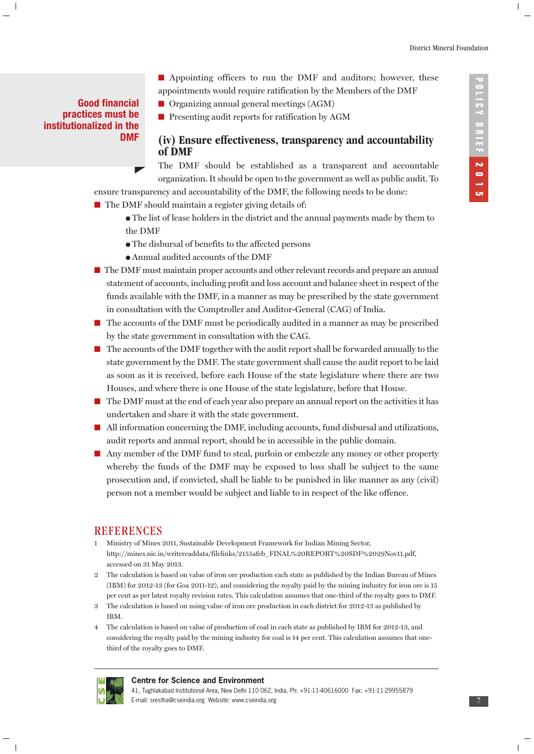# **Good financial practices must be institutionalized in the DMF**

 $\overline{\phantom{a}}$ 

- Appointing officers to run the DMF and auditors; however, these appointments would require ratification by the Members of the DMF
- Organizing annual general meetings (AGM)
- Presenting audit reports for ratification by AGM

# **(iv) Ensure effectiveness, transparency and accountability of DMF**

The DMF should be established as a transparent and accountable organization. It should be open to the government as well as public audit. To

ensure transparency and accountability of the DMF, the following needs to be done:

- The DMF should maintain a register giving details of:
	- The list of lease holders in the district and the annual payments made by them to the DMF
	- The disbursal of benefits to the affected persons
	- Annual audited accounts of the DMF
- The DMF must maintain proper accounts and other relevant records and prepare an annual statement of accounts, including profit and loss account and balance sheet in respect of the funds available with the DMF, in a manner as may be prescribed by the state government in consultation with the Comptroller and Auditor-General (CAG) of India.
- The accounts of the DMF must be periodically audited in a manner as may be prescribed by the state government in consultation with the CAG.
- The accounts of the DMF together with the audit report shall be forwarded annually to the state government by the DMF. The state government shall cause the audit report to be laid as soon as it is received, before each House of the state legislature where there are two Houses, and where there is one House of the state legislature, before that House.
- The DMF must at the end of each year also prepare an annual report on the activities it has undertaken and share it with the state government.
- All information concerning the DMF, including accounts, fund disbursal and utilizations, audit reports and annual report, should be in accessible in the public domain.
- Any member of the DMF fund to steal, purloin or embezzle any money or other property whereby the funds of the DMF may be exposed to loss shall be subject to the same prosecution and, if convicted, shall be liable to be punished in like manner as any (civil) person not a member would be subject and liable to in respect of the like offence.

#### **REFERENCES**

- 1 Ministry of Mines 2011, Sustainable Development Framework for Indian Mining Sector, http://mines.nic.in/writereaddata/filelinks/2155afeb\_FINAL%20REPORT%20SDF%2029Nov11.pdf, accessed on 31 May 2013.
- 2 The calculation is based on value of iron ore production each state as published by the Indian Bureau of Mines (IBM) for 2012-13 (for Goa 2011-12), and considering the royalty paid by the mining industry for iron ore is 15 per cent as per latest royalty revision rates. This calculation assumes that one-third of the royalty goes to DMF.
- 3 The calculation is based on using value of iron ore production in each district for 2012-13 as published by IBM.
- 4 The calculation is based on value of production of coal in each state as published by IBM for 2012-13, and considering the royalty paid by the mining industry for coal is 14 per cent. This calculation assumes that onethird of the royalty goes to DMF.



#### **Centre for Science and Environment**

41, Tughlakabad Institutional Area, New Delhi 110 062, India, Ph: +91-11-40616000 Fax: +91-11-29955879 E-mail: srestha@cseindia.org Website: www.cseindia.org

 $\mathbf{I}$ 

 $\overline{1}$